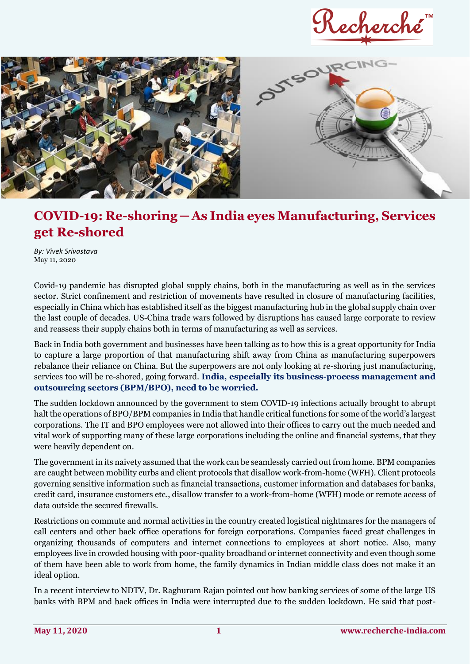Recherché



## **COVID-19: Re-shoring ─ As India eyes Manufacturing, Services get Re-shored**

*By: Vivek Srivastava*  May 11, 2020

Covid-19 pandemic has disrupted global supply chains, both in the manufacturing as well as in the services sector. Strict confinement and restriction of movements have resulted in closure of manufacturing facilities, especially in China which has established itself as the biggest manufacturing hub in the global supply chain over the last couple of decades. US-China trade wars followed by disruptions has caused large corporate to review and reassess their supply chains both in terms of manufacturing as well as services.

Back in India both government and businesses have been talking as to how this is a great opportunity for India to capture a large proportion of that manufacturing shift away from China as manufacturing superpowers rebalance their reliance on China. But the superpowers are not only looking at re-shoring just manufacturing, services too will be re-shored, going forward. **India, especially its business-process management and outsourcing sectors (BPM/BPO), need to be worried.**

The sudden lockdown announced by the government to stem COVID-19 infections actually brought to abrupt halt the operations of BPO/BPM companies in India that handle critical functions for some of the world's largest corporations. The IT and BPO employees were not allowed into their offices to carry out the much needed and vital work of supporting many of these large corporations including the online and financial systems, that they were heavily dependent on.

The government in its naivety assumed that the work can be seamlessly carried out from home. BPM companies are caught between mobility curbs and client protocols that disallow work-from-home (WFH). Client protocols governing sensitive information such as financial transactions, customer information and databases for banks, credit card, insurance customers etc., disallow transfer to a work-from-home (WFH) mode or remote access of data outside the secured firewalls.

Restrictions on commute and normal activities in the country created logistical nightmares for the managers of call centers and other back office operations for foreign corporations. Companies faced great challenges in organizing thousands of computers and internet connections to employees at short notice. Also, many employees live in crowded housing with poor-quality broadband or internet connectivity and even though some of them have been able to work from home, the family dynamics in Indian middle class does not make it an ideal option.

In a recent interview to NDTV, Dr. Raghuram Rajan pointed out how banking services of some of the large US banks with BPM and back offices in India were interrupted due to the sudden lockdown. He said that post-